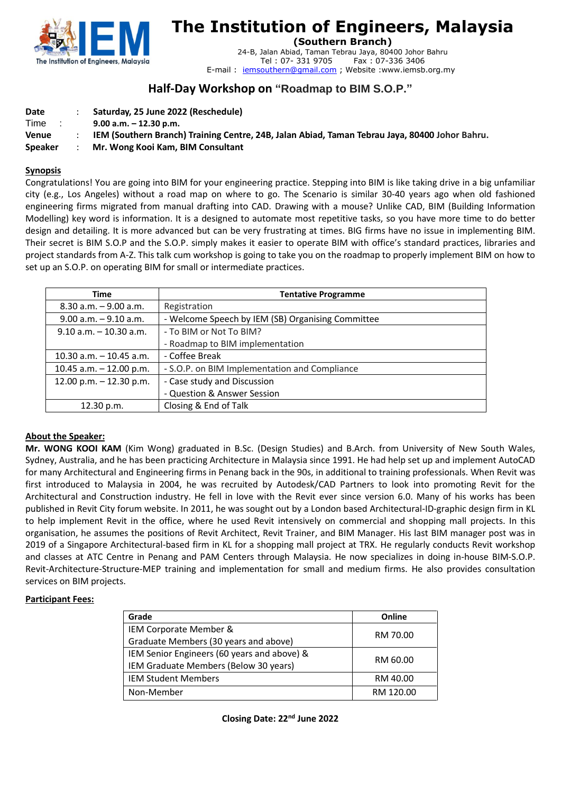

# **The Institution of Engineers, Malaysia**

**(Southern Branch)**

24-B, Jalan Abiad, Taman Tebrau Jaya, 80400 Johor Bahru Fax: 07-336 3406 E-mail : [iemsouthern@gmail.com](mailto:iemsouthern@gmail.com) ; Website :www.iemsb.org.my

# **Half-Day Workshop on "Roadmap to BIM S.O.P."**

| Date    |  | Saturday, 25 June 2022 (Reschedule)                                                            |
|---------|--|------------------------------------------------------------------------------------------------|
| Time    |  | $9.00$ a.m. $-12.30$ p.m.                                                                      |
| Venue   |  | IEM (Southern Branch) Training Centre, 24B, Jalan Abiad, Taman Tebrau Jaya, 80400 Johor Bahru. |
| Speaker |  | Mr. Wong Kooi Kam, BIM Consultant                                                              |

#### **Synopsis**

Congratulations! You are going into BIM for your engineering practice. Stepping into BIM is like taking drive in a big unfamiliar city (e.g., Los Angeles) without a road map on where to go. The Scenario is similar 30-40 years ago when old fashioned engineering firms migrated from manual drafting into CAD. Drawing with a mouse? Unlike CAD, BIM (Building Information Modelling) key word is information. It is a designed to automate most repetitive tasks, so you have more time to do better design and detailing. It is more advanced but can be very frustrating at times. BIG firms have no issue in implementing BIM. Their secret is BIM S.O.P and the S.O.P. simply makes it easier to operate BIM with office's standard practices, libraries and project standards from A-Z. This talk cum workshop is going to take you on the roadmap to properly implement BIM on how to set up an S.O.P. on operating BIM for small or intermediate practices.

| Time                       | <b>Tentative Programme</b>                        |
|----------------------------|---------------------------------------------------|
| $8.30$ a.m. $-9.00$ a.m.   | Registration                                      |
| $9.00$ a.m. $-9.10$ a.m.   | - Welcome Speech by IEM (SB) Organising Committee |
| $9.10$ a.m. $-10.30$ a.m.  | - To BIM or Not To BIM?                           |
|                            | - Roadmap to BIM implementation                   |
| $10.30$ a.m. $-10.45$ a.m. | - Coffee Break                                    |
| 10.45 a.m. $-$ 12.00 p.m.  | - S.O.P. on BIM Implementation and Compliance     |
| 12.00 p.m. $-$ 12.30 p.m.  | - Case study and Discussion                       |
|                            | - Question & Answer Session                       |
| 12.30 p.m.                 | Closing & End of Talk                             |

### **About the Speaker:**

**Mr. WONG KOOI KAM** (Kim Wong) graduated in B.Sc. (Design Studies) and B.Arch. from University of New South Wales, Sydney, Australia, and he has been practicing Architecture in Malaysia since 1991. He had help set up and implement AutoCAD for many Architectural and Engineering firms in Penang back in the 90s, in additional to training professionals. When Revit was first introduced to Malaysia in 2004, he was recruited by Autodesk/CAD Partners to look into promoting Revit for the Architectural and Construction industry. He fell in love with the Revit ever since version 6.0. Many of his works has been published in Revit City forum website. In 2011, he was sought out by a London based Architectural-ID-graphic design firm in KL to help implement Revit in the office, where he used Revit intensively on commercial and shopping mall projects. In this organisation, he assumes the positions of Revit Architect, Revit Trainer, and BIM Manager. His last BIM manager post was in 2019 of a Singapore Architectural-based firm in KL for a shopping mall project at TRX. He regularly conducts Revit workshop and classes at ATC Centre in Penang and PAM Centers through Malaysia. He now specializes in doing in-house BIM-S.O.P. Revit-Architecture-Structure-MEP training and implementation for small and medium firms. He also provides consultation services on BIM projects.

#### **Participant Fees:**

| Grade                                       | Online    |
|---------------------------------------------|-----------|
| IEM Corporate Member &                      | RM 70.00  |
| Graduate Members (30 years and above)       |           |
| IEM Senior Engineers (60 years and above) & | RM 60.00  |
| IEM Graduate Members (Below 30 years)       |           |
| <b>IEM Student Members</b>                  | RM 40.00  |
| Non-Member                                  | RM 120.00 |